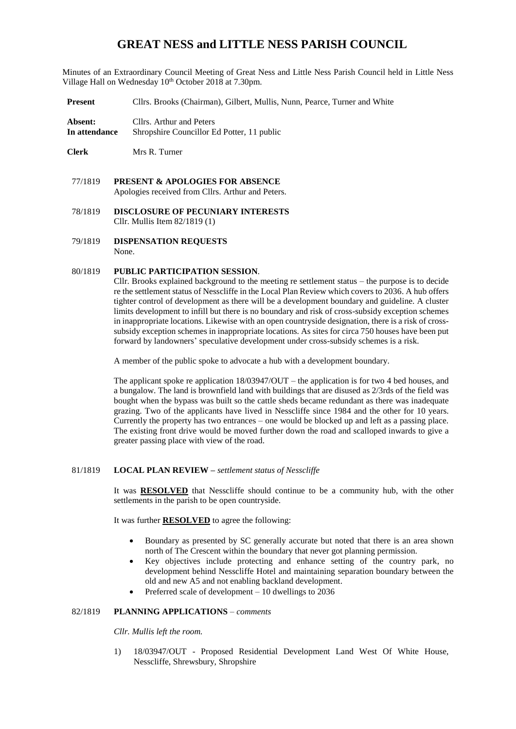# **GREAT NESS and LITTLE NESS PARISH COUNCIL**

Minutes of an Extraordinary Council Meeting of Great Ness and Little Ness Parish Council held in Little Ness Village Hall on Wednesday 10<sup>th</sup> October 2018 at 7.30pm.

**Present** Cllrs. Brooks (Chairman), Gilbert, Mullis, Nunn, Pearce, Turner and White

**Absent:** Cllrs. Arthur and Peters **In attendance** Shropshire Councillor Ed Potter, 11 public

**Clerk** Mrs R. Turner

- 77/1819 **PRESENT & APOLOGIES FOR ABSENCE**  Apologies received from Cllrs. Arthur and Peters.
- 78/1819 **DISCLOSURE OF PECUNIARY INTERESTS** Cllr. Mullis Item 82/1819 (1)
- 79/1819 **DISPENSATION REQUESTS** None.

### 80/1819 **PUBLIC PARTICIPATION SESSION***.*

Cllr. Brooks explained background to the meeting re settlement status – the purpose is to decide re the settlement status of Nesscliffe in the Local Plan Review which covers to 2036. A hub offers tighter control of development as there will be a development boundary and guideline. A cluster limits development to infill but there is no boundary and risk of cross-subsidy exception schemes in inappropriate locations. Likewise with an open countryside designation, there is a risk of crosssubsidy exception schemes in inappropriate locations. As sites for circa 750 houses have been put forward by landowners' speculative development under cross-subsidy schemes is a risk.

A member of the public spoke to advocate a hub with a development boundary.

The applicant spoke re application 18/03947/OUT – the application is for two 4 bed houses, and a bungalow. The land is brownfield land with buildings that are disused as 2/3rds of the field was bought when the bypass was built so the cattle sheds became redundant as there was inadequate grazing. Two of the applicants have lived in Nesscliffe since 1984 and the other for 10 years. Currently the property has two entrances – one would be blocked up and left as a passing place. The existing front drive would be moved further down the road and scalloped inwards to give a greater passing place with view of the road.

#### 81/1819 **LOCAL PLAN REVIEW –** *settlement status of Nesscliffe*

It was **RESOLVED** that Nesscliffe should continue to be a community hub, with the other settlements in the parish to be open countryside.

It was further **RESOLVED** to agree the following:

- Boundary as presented by SC generally accurate but noted that there is an area shown north of The Crescent within the boundary that never got planning permission.
- Key objectives include protecting and enhance setting of the country park, no development behind Nesscliffe Hotel and maintaining separation boundary between the old and new A5 and not enabling backland development.
- Preferred scale of development 10 dwellings to 2036

# 82/1819 **PLANNING APPLICATIONS** – *comments*

*Cllr. Mullis left the room.*

1) 18/03947/OUT - Proposed Residential Development Land West Of White House, Nesscliffe, Shrewsbury, Shropshire